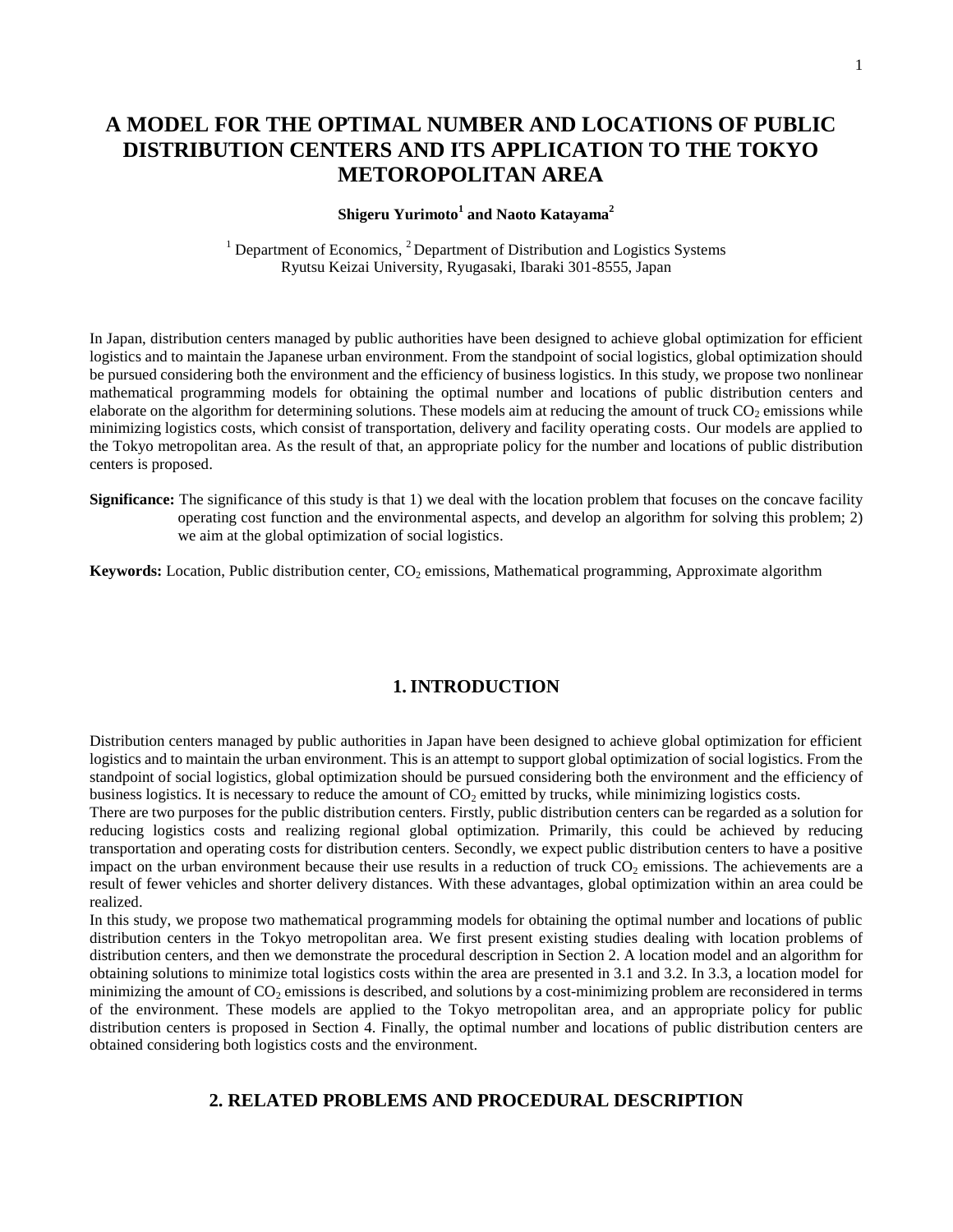# **A MODEL FOR THE OPTIMAL NUMBER AND LOCATIONS OF PUBLIC DISTRIBUTION CENTERS AND ITS APPLICATION TO THE TOKYO METOROPOLITAN AREA**

### **Shigeru Yurimoto<sup>1</sup> and Naoto Katayama<sup>2</sup>**

<sup>1</sup> Department of Economics,  ${}^{2}$  Department of Distribution and Logistics Systems Ryutsu Keizai University, Ryugasaki, Ibaraki 301-8555, Japan

In Japan, distribution centers managed by public authorities have been designed to achieve global optimization for efficient logistics and to maintain the Japanese urban environment. From the standpoint of social logistics, global optimization should be pursued considering both the environment and the efficiency of business logistics. In this study, we propose two nonlinear mathematical programming models for obtaining the optimal number and locations of public distribution centers and elaborate on the algorithm for determining solutions. These models aim at reducing the amount of truck  $CO_2$  emissions while minimizing logistics costs, which consist of transportation, delivery and facility operating costs. Our models are applied to the Tokyo metropolitan area. As the result of that, an appropriate policy for the number and locations of public distribution centers is proposed.

**Significance:** The significance of this study is that 1) we deal with the location problem that focuses on the concave facility operating cost function and the environmental aspects, and develop an algorithm for solving this problem; 2) we aim at the global optimization of social logistics.

**Keywords:** Location, Public distribution center, CO<sub>2</sub> emissions, Mathematical programming, Approximate algorithm

### **1.INTRODUCTION**

Distribution centers managed by public authorities in Japan have been designed to achieve global optimization for efficient logistics and to maintain the urban environment. This is an attempt to support global optimization of social logistics. From the standpoint of social logistics, global optimization should be pursued considering both the environment and the efficiency of business logistics. It is necessary to reduce the amount of  $CO<sub>2</sub>$  emitted by trucks, while minimizing logistics costs.

There are two purposes for the public distribution centers. Firstly, public distribution centers can be regarded as a solution for reducing logistics costs and realizing regional global optimization. Primarily, this could be achieved by reducing transportation and operating costs for distribution centers. Secondly, we expect public distribution centers to have a positive impact on the urban environment because their use results in a reduction of truck  $CO<sub>2</sub>$  emissions. The achievements are a result of fewer vehicles and shorter delivery distances. With these advantages, global optimization within an area could be realized.

In this study, we propose two mathematical programming models for obtaining the optimal number and locations of public distribution centers in the Tokyo metropolitan area. We first present existing studies dealing with location problems of distribution centers, and then we demonstrate the procedural description in Section 2. A location model and an algorithm for obtaining solutions to minimize total logistics costs within the area are presented in 3.1 and 3.2. In 3.3, a location model for minimizing the amount of  $CO<sub>2</sub>$  emissions is described, and solutions by a cost-minimizing problem are reconsidered in terms of the environment. These models are applied to the Tokyo metropolitan area, and an appropriate policy for public distribution centers is proposed in Section 4. Finally, the optimal number and locations of public distribution centers are obtained considering both logistics costs and the environment.

### **2. RELATED PROBLEMS AND PROCEDURAL DESCRIPTION**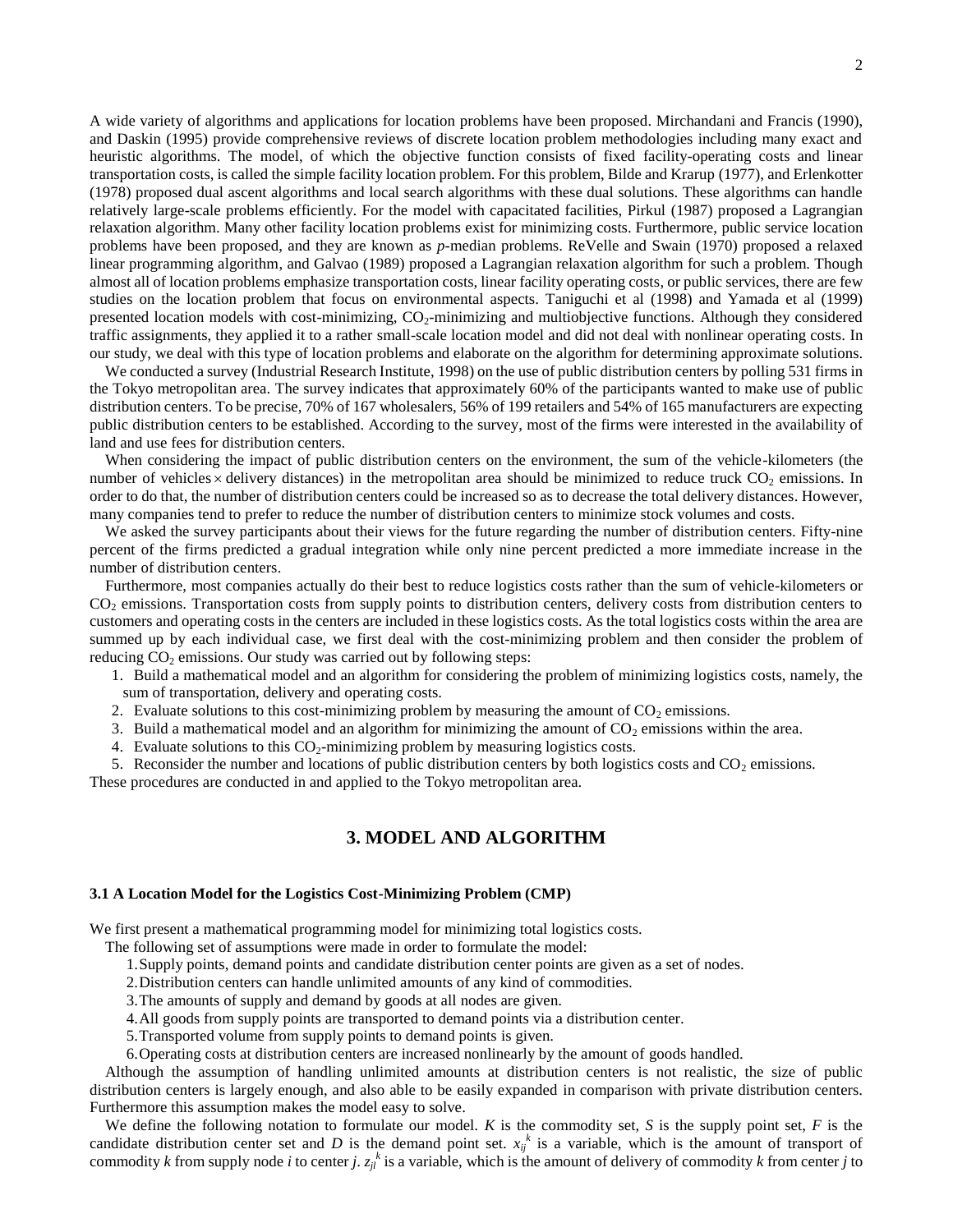A wide variety of algorithms and applications for location problems have been proposed. Mirchandani and Francis (1990), and Daskin (1995) provide comprehensive reviews of discrete location problem methodologies including many exact and heuristic algorithms. The model, of which the objective function consists of fixed facility-operating costs and linear transportation costs, is called the simple facility location problem. For this problem, Bilde and Krarup (1977), and Erlenkotter (1978) proposed dual ascent algorithms and local search algorithms with these dual solutions. These algorithms can handle relatively large-scale problems efficiently. For the model with capacitated facilities, Pirkul (1987) proposed a Lagrangian relaxation algorithm. Many other facility location problems exist for minimizing costs. Furthermore, public service location problems have been proposed, and they are known as *p*-median problems. ReVelle and Swain (1970) proposed a relaxed linear programming algorithm, and Galvao (1989) proposed a Lagrangian relaxation algorithm for such a problem. Though almost all of location problems emphasize transportation costs, linear facility operating costs, or public services, there are few studies on the location problem that focus on environmental aspects. Taniguchi et al (1998) and Yamada et al (1999) presented location models with cost-minimizing,  $CO<sub>2</sub>$ -minimizing and multiobjective functions. Although they considered traffic assignments, they applied it to a rather small-scale location model and did not deal with nonlinear operating costs. In our study, we deal with this type of location problems and elaborate on the algorithm for determining approximate solutions.

We conducted a survey (Industrial Research Institute, 1998) on the use of public distribution centers by polling 531 firms in the Tokyo metropolitan area. The survey indicates that approximately 60% of the participants wanted to make use of public distribution centers. To be precise, 70% of 167 wholesalers, 56% of 199 retailers and 54% of 165 manufacturers are expecting public distribution centers to be established. According to the survey, most of the firms were interested in the availability of land and use fees for distribution centers.

When considering the impact of public distribution centers on the environment, the sum of the vehicle-kilometers (the number of vehicles  $\times$  delivery distances) in the metropolitan area should be minimized to reduce truck  $CO_2$  emissions. In order to do that, the number of distribution centers could be increased so as to decrease the total delivery distances. However, many companies tend to prefer to reduce the number of distribution centers to minimize stock volumes and costs.

We asked the survey participants about their views for the future regarding the number of distribution centers. Fifty-nine percent of the firms predicted a gradual integration while only nine percent predicted a more immediate increase in the number of distribution centers.

Furthermore, most companies actually do their best to reduce logistics costs rather than the sum of vehicle-kilometers or CO<sup>2</sup> emissions. Transportation costs from supply points to distribution centers, delivery costs from distribution centers to customers and operating costs in the centers are included in these logistics costs. As the total logistics costs within the area are summed up by each individual case, we first deal with the cost-minimizing problem and then consider the problem of reducing  $CO<sub>2</sub>$  emissions. Our study was carried out by following steps:

1. Build a mathematical model and an algorithm for considering the problem of minimizing logistics costs, namely, the sum of transportation, delivery and operating costs.

- 2. Evaluate solutions to this cost-minimizing problem by measuring the amount of  $CO<sub>2</sub>$  emissions.
- 3. Build a mathematical model and an algorithm for minimizing the amount of  $CO<sub>2</sub>$  emissions within the area.
- 4. Evaluate solutions to this  $CO<sub>2</sub>$ -minimizing problem by measuring logistics costs.

5. Reconsider the number and locations of public distribution centers by both logistics costs and  $CO<sub>2</sub>$  emissions.

These procedures are conducted in and applied to the Tokyo metropolitan area.

### **3. MODEL AND ALGORITHM**

#### **3.1 A Location Model for the Logistics Cost-Minimizing Problem (CMP)**

We first present a mathematical programming model for minimizing total logistics costs.

The following set of assumptions were made in order to formulate the model:

- 1.Supply points, demand points and candidate distribution center points are given as a set of nodes.
- 2.Distribution centers can handle unlimited amounts of any kind of commodities.
- 3.The amounts of supply and demand by goods at all nodes are given.
- 4.All goods from supply points are transported to demand points via a distribution center.
- 5.Transported volume from supply points to demand points is given.

6.Operating costs at distribution centers are increased nonlinearly by the amount of goods handled.

Although the assumption of handling unlimited amounts at distribution centers is not realistic, the size of public distribution centers is largely enough, and also able to be easily expanded in comparison with private distribution centers. Furthermore this assumption makes the model easy to solve.

We define the following notation to formulate our model. *K* is the commodity set, *S* is the supply point set, *F* is the candidate distribution center set and *D* is the demand point set.  $x_{ij}^k$  is a variable, which is the amount of transport of commodity *k* from supply node *i* to center *j*.  $z_{jl}^k$  is a variable, which is the amount of delivery of commodity *k* from center *j* to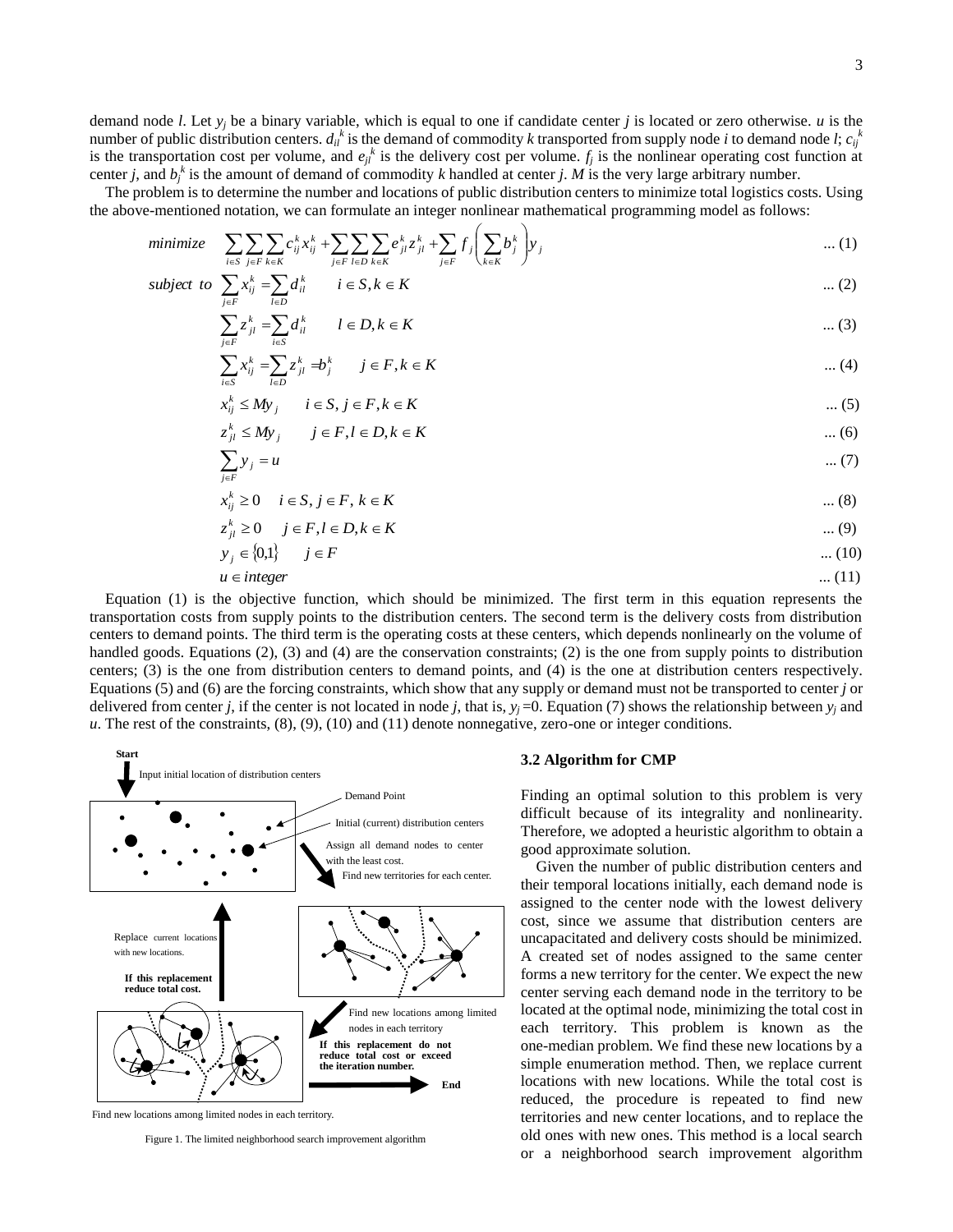demand node *l*. Let *y<sup>j</sup>* be a binary variable, which is equal to one if candidate center *j* is located or zero otherwise. *u* is the number of public distribution centers.  $d_i^k$  is the demand of commodity *k* transported from supply node *i* to demand node *l*;  $c_i^k$ is the transportation cost per volume, and  $e_{jl}^k$  is the delivery cost per volume.  $f_j$  is the nonlinear operating cost function at center *j*, and  $b_j^k$  is the amount of demand of commodity *k* handled at center *j*. *M* is the very large arbitrary number.

The problem is to determine the number and locations of public distribution centers to minimize total logistics costs. Using the above-mentioned notation, we can formulate an integer nonlinear mathematical programming model as follows:

$$
minimize \quad \sum_{i \in S} \sum_{j \in F} \sum_{k \in K} c_{ij}^k x_{ij}^k + \sum_{j \in F} \sum_{l \in D} \sum_{k \in K} e_{jl}^k z_{jl}^k + \sum_{j \in F} f_j \left( \sum_{k \in K} b_j^k \right) y_j \quad \dots (1)
$$

subject to 
$$
\sum_{j \in F} x_{ij}^k = \sum_{l \in D} d_{il}^k \qquad i \in S, k \in K
$$
 ... (2)

$$
\sum_{j\in F} z_{jl}^k = \sum_{i\in S} d_{il}^k \qquad l \in D, k \in K \qquad \qquad \dots (3)
$$

$$
\sum_{i\in S} x_{ij}^k = \sum_{l\in D} z_{jl}^k \Rightarrow b_j^k \qquad j \in F, k \in K
$$

$$
x_{ij}^k \le My_j \qquad i \in S, j \in F, k \in K \tag{5}
$$

$$
z_{jl}^k \le My_j \qquad j \in F, l \in D, k \in K \tag{6}
$$

$$
\sum_{j \in F} y_j = u \tag{7}
$$

$$
x_{ij}^k \ge 0 \quad i \in S, j \in F, k \in K
$$

$$
z_{jl}^k \ge 0 \qquad j \in F, l \in D, k \in K \tag{9}
$$

$$
y_j \in \{0,1\} \qquad j \in F \tag{10}
$$

$$
u \in integer
$$
 ... (11)

Equation (1) is the objective function, which should be minimized. The first term in this equation represents the transportation costs from supply points to the distribution centers. The second term is the delivery costs from distribution centers to demand points. The third term is the operating costs at these centers, which depends nonlinearly on the volume of handled goods. Equations (2), (3) and (4) are the conservation constraints; (2) is the one from supply points to distribution centers; (3) is the one from distribution centers to demand points, and (4) is the one at distribution centers respectively. Equations (5) and (6) are the forcing constraints, which show that any supply or demand must not be transported to center *j* or delivered from center *j*, if the center is not located in node *j*, that is,  $y_i = 0$ . Equation (7) shows the relationship between  $y_i$  and *u*. The rest of the constraints, (8), (9), (10) and (11) denote nonnegative, zero-one or integer conditions.



*k*

Figure 1. The limited neighborhood search improvement algorithm

#### **3.2 Algorithm for CMP**

Finding an optimal solution to this problem is very difficult because of its integrality and nonlinearity. Therefore, we adopted a heuristic algorithm to obtain a good approximate solution.

Given the number of public distribution centers and their temporal locations initially, each demand node is assigned to the center node with the lowest delivery cost, since we assume that distribution centers are uncapacitated and delivery costs should be minimized. A created set of nodes assigned to the same center forms a new territory for the center. We expect the new center serving each demand node in the territory to be located at the optimal node, minimizing the total cost in each territory. This problem is known as the one-median problem. We find these new locations by a simple enumeration method. Then, we replace current locations with new locations. While the total cost is reduced, the procedure is repeated to find new territories and new center locations, and to replace the old ones with new ones. This method is a local search or a neighborhood search improvement algorithm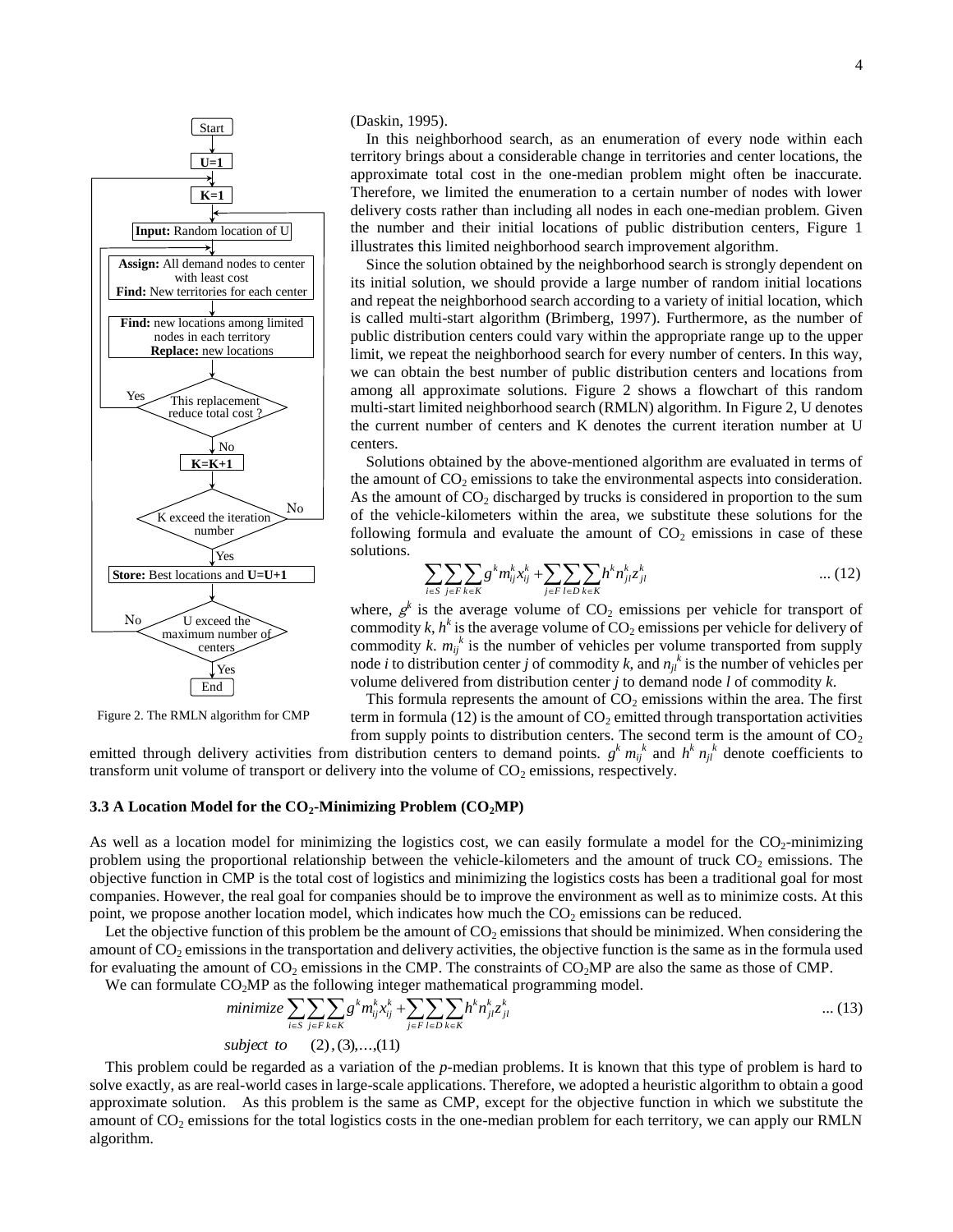

Figure 2. The RMLN algorithm for CMP

(Daskin, 1995).

In this neighborhood search, as an enumeration of every node within each territory brings about a considerable change in territories and center locations, the approximate total cost in the one-median problem might often be inaccurate. Therefore, we limited the enumeration to a certain number of nodes with lower delivery costs rather than including all nodes in each one-median problem. Given the number and their initial locations of public distribution centers, Figure 1 illustrates this limited neighborhood search improvement algorithm.

Since the solution obtained by the neighborhood search is strongly dependent on its initial solution, we should provide a large number of random initial locations and repeat the neighborhood search according to a variety of initial location, which is called multi-start algorithm (Brimberg, 1997). Furthermore, as the number of public distribution centers could vary within the appropriate range up to the upper limit, we repeat the neighborhood search for every number of centers. In this way, we can obtain the best number of public distribution centers and locations from among all approximate solutions. Figure 2 shows a flowchart of this random multi-start limited neighborhood search (RMLN) algorithm. In Figure 2, U denotes the current number of centers and K denotes the current iteration number at U centers.

Solutions obtained by the above-mentioned algorithm are evaluated in terms of the amount of  $CO<sub>2</sub>$  emissions to take the environmental aspects into consideration. As the amount of  $CO<sub>2</sub>$  discharged by trucks is considered in proportion to the sum of the vehicle-kilometers within the area, we substitute these solutions for the following formula and evaluate the amount of  $CO<sub>2</sub>$  emissions in case of these solutions.

$$
\sum_{i \in S} \sum_{j \in F} \sum_{k \in K} g^{k} m_{ij}^{k} x_{ij}^{k} + \sum_{j \in F} \sum_{l \in D} \sum_{k \in K} h^{k} n_{jl}^{k} z_{jl}^{k} \qquad \qquad \dots (12)
$$

where,  $g^k$  is the average volume of  $CO_2$  emissions per vehicle for transport of commodity  $k$ ,  $h^k$  is the average volume of  $CO_2$  emissions per vehicle for delivery of commodity  $k$ .  $m_{ij}^k$  is the number of vehicles per volume transported from supply node *i* to distribution center *j* of commodity *k*, and  $n<sub>jl</sub><sup>k</sup>$  is the number of vehicles per volume delivered from distribution center *j* to demand node *l* of commodity *k*.

This formula represents the amount of  $CO<sub>2</sub>$  emissions within the area. The first term in formula (12) is the amount of  $CO<sub>2</sub>$  emitted through transportation activities from supply points to distribution centers. The second term is the amount of  $CO<sub>2</sub>$ 

emitted through delivery activities from distribution centers to demand points.  $g^k m_j^k$  and  $h^k n_j^k$  denote coefficients to transform unit volume of transport or delivery into the volume of  $CO<sub>2</sub>$  emissions, respectively.

#### **3.3 A Location Model for the CO2-Minimizing Problem (CO2MP)**

As well as a location model for minimizing the logistics cost, we can easily formulate a model for the  $CO<sub>2</sub>$ -minimizing problem using the proportional relationship between the vehicle-kilometers and the amount of truck  $CO_2$  emissions. The objective function in CMP is the total cost of logistics and minimizing the logistics costs has been a traditional goal for most companies. However, the real goal for companies should be to improve the environment as well as to minimize costs. At this point, we propose another location model, which indicates how much the  $CO<sub>2</sub>$  emissions can be reduced.

Let the objective function of this problem be the amount of  $CO<sub>2</sub>$  emissions that should be minimized. When considering the amount of CO<sub>2</sub> emissions in the transportation and delivery activities, the objective function is the same as in the formula used for evaluating the amount of  $CO_2$  emissions in the CMP. The constraints of  $CO_2MP$  are also the same as those of CMP.

We can formulate  $CO<sub>2</sub>MP$  as the following integer mathematical programming model.

$$
\text{minimize } \sum_{i \in S} \sum_{j \in F} \sum_{k \in K} g^k m_{ij}^k x_{ij}^k + \sum_{j \in F} \sum_{l \in D} \sum_{k \in K} h^k n_{jl}^k z_{jl}^k \qquad \qquad \dots (13)
$$
\n
$$
\text{subject to } (2), (3), \dots, (11)
$$

This problem could be regarded as a variation of the *p*-median problems. It is known that this type of problem is hard to solve exactly, as are real-world cases in large-scale applications. Therefore, we adopted a heuristic algorithm to obtain a good approximate solution. As this problem is the same as CMP, except for the objective function in which we substitute the amount of  $CO<sub>2</sub>$  emissions for the total logistics costs in the one-median problem for each territory, we can apply our RMLN algorithm.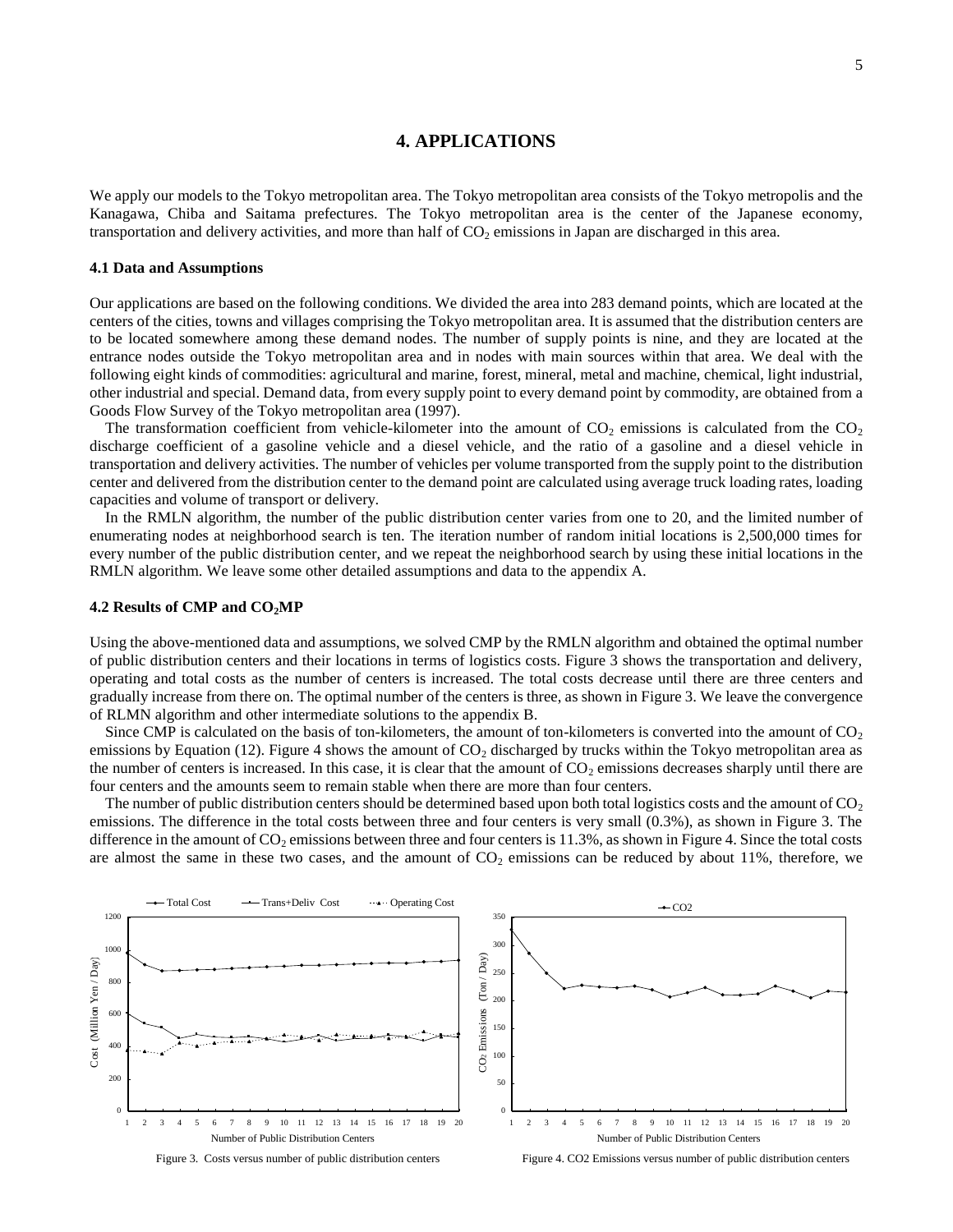### **4. APPLICATIONS**

We apply our models to the Tokyo metropolitan area. The Tokyo metropolitan area consists of the Tokyo metropolis and the Kanagawa, Chiba and Saitama prefectures. The Tokyo metropolitan area is the center of the Japanese economy, transportation and delivery activities, and more than half of  $CO<sub>2</sub>$  emissions in Japan are discharged in this area.

#### **4.1 Data and Assumptions**

Our applications are based on the following conditions. We divided the area into 283 demand points, which are located at the centers of the cities, towns and villages comprising the Tokyo metropolitan area. It is assumed that the distribution centers are to be located somewhere among these demand nodes. The number of supply points is nine, and they are located at the entrance nodes outside the Tokyo metropolitan area and in nodes with main sources within that area. We deal with the following eight kinds of commodities: agricultural and marine, forest, mineral, metal and machine, chemical, light industrial, other industrial and special. Demand data, from every supply point to every demand point by commodity, are obtained from a Goods Flow Survey of the Tokyo metropolitan area (1997).

The transformation coefficient from vehicle-kilometer into the amount of  $CO_2$  emissions is calculated from the  $CO_2$ discharge coefficient of a gasoline vehicle and a diesel vehicle, and the ratio of a gasoline and a diesel vehicle in transportation and delivery activities. The number of vehicles per volume transported from the supply point to the distribution center and delivered from the distribution center to the demand point are calculated using average truck loading rates, loading capacities and volume of transport or delivery.

In the RMLN algorithm, the number of the public distribution center varies from one to 20, and the limited number of enumerating nodes at neighborhood search is ten. The iteration number of random initial locations is 2,500,000 times for every number of the public distribution center, and we repeat the neighborhood search by using these initial locations in the RMLN algorithm. We leave some other detailed assumptions and data to the appendix A.

#### **4.2 Results of CMP and CO2MP**

Using the above-mentioned data and assumptions, we solved CMP by the RMLN algorithm and obtained the optimal number of public distribution centers and their locations in terms of logistics costs. Figure 3 shows the transportation and delivery, operating and total costs as the number of centers is increased. The total costs decrease until there are three centers and gradually increase from there on. The optimal number of the centers is three, as shown in Figure 3. We leave the convergence of RLMN algorithm and other intermediate solutions to the appendix B.

Since CMP is calculated on the basis of ton-kilometers, the amount of ton-kilometers is converted into the amount of  $CO<sub>2</sub>$ emissions by Equation (12). Figure 4 shows the amount of  $CO<sub>2</sub>$  discharged by trucks within the Tokyo metropolitan area as the number of centers is increased. In this case, it is clear that the amount of  $CO<sub>2</sub>$  emissions decreases sharply until there are four centers and the amounts seem to remain stable when there are more than four centers.

The number of public distribution centers should be determined based upon both total logistics costs and the amount of  $CO<sub>2</sub>$ emissions. The difference in the total costs between three and four centers is very small (0.3%), as shown in Figure 3. The difference in the amount of  $CO<sub>2</sub>$  emissions between three and four centers is 11.3%, as shown in Figure 4. Since the total costs are almost the same in these two cases, and the amount of  $CO<sub>2</sub>$  emissions can be reduced by about 11%, therefore, we



Figure 3. Costs versus number of public distribution centers

Figure 4. CO2 Emissions versus number of public distribution centers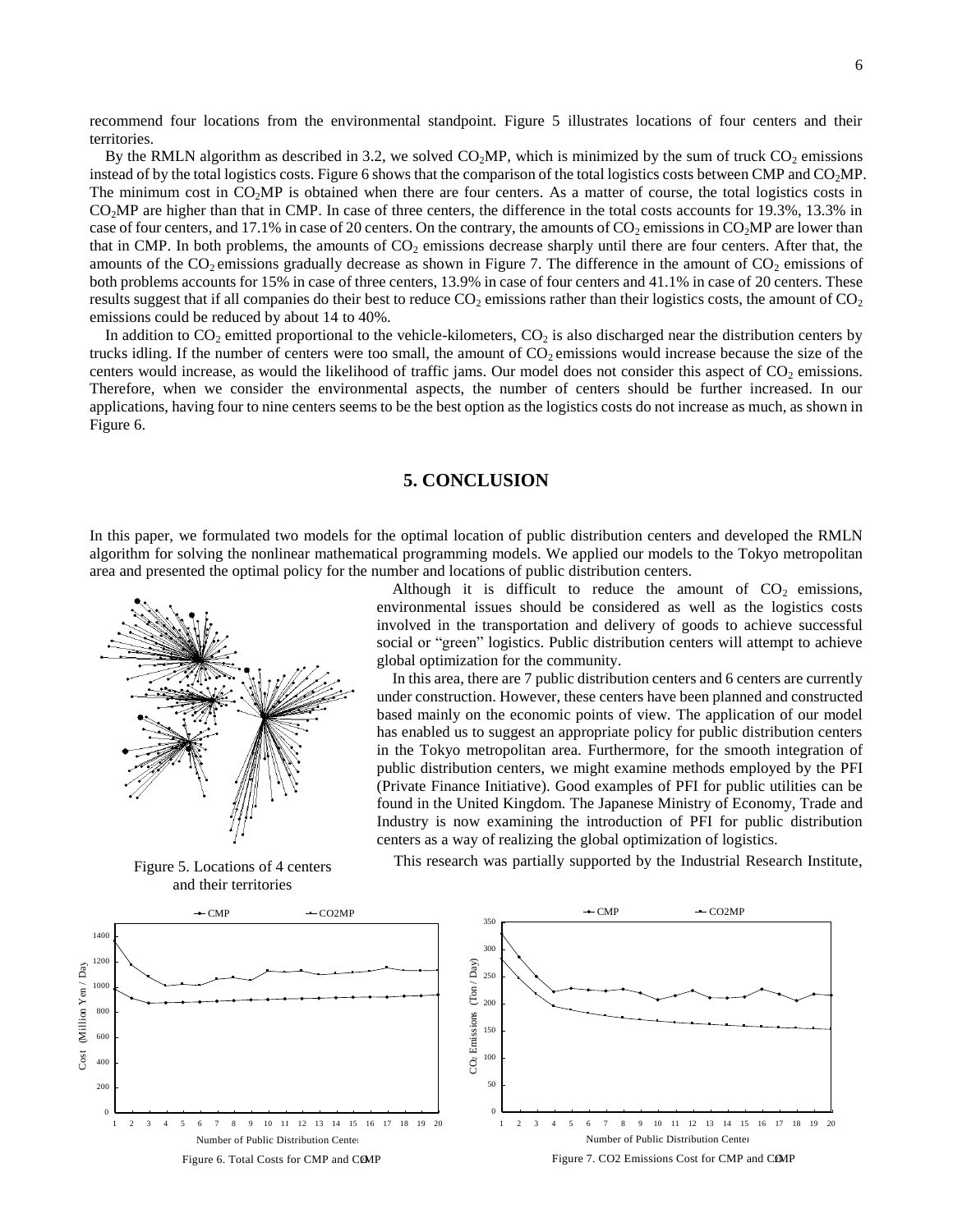recommend four locations from the environmental standpoint. Figure 5 illustrates locations of four centers and their territories.

By the RMLN algorithm as described in 3.2, we solved  $CO<sub>2</sub>MP$ , which is minimized by the sum of truck  $CO<sub>2</sub>$  emissions instead of by the total logistics costs. Figure 6 shows that the comparison of the total logistics costs between CMP and  $CO<sub>2</sub>MP$ . The minimum cost in  $CO<sub>2</sub>MP$  is obtained when there are four centers. As a matter of course, the total logistics costs in CO2MP are higher than that in CMP. In case of three centers, the difference in the total costs accounts for 19.3%, 13.3% in case of four centers, and 17.1% in case of 20 centers. On the contrary, the amounts of  $CO_2$  emissions in  $CO_2MP$  are lower than that in CMP. In both problems, the amounts of  $CO<sub>2</sub>$  emissions decrease sharply until there are four centers. After that, the amounts of the  $CO_2$  emissions gradually decrease as shown in Figure 7. The difference in the amount of  $CO_2$  emissions of both problems accounts for 15% in case of three centers, 13.9% in case of four centers and 41.1% in case of 20 centers. These results suggest that if all companies do their best to reduce  $CO_2$  emissions rather than their logistics costs, the amount of  $CO_2$ emissions could be reduced by about 14 to 40%.

In addition to  $CO<sub>2</sub>$  emitted proportional to the vehicle-kilometers,  $CO<sub>2</sub>$  is also discharged near the distribution centers by trucks idling. If the number of centers were too small, the amount of  $CO<sub>2</sub>$  emissions would increase because the size of the centers would increase, as would the likelihood of traffic jams. Our model does not consider this aspect of  $CO<sub>2</sub>$  emissions. Therefore, when we consider the environmental aspects, the number of centers should be further increased. In our applications, having four to nine centers seems to be the best option as the logistics costs do not increase as much, as shown in Figure 6.

#### **5. CONCLUSION**

In this paper, we formulated two models for the optimal location of public distribution centers and developed the RMLN algorithm for solving the nonlinear mathematical programming models. We applied our models to the Tokyo metropolitan area and presented the optimal policy for the number and locations of public distribution centers.



Figure 5. Locations of 4 centers and their territories

Although it is difficult to reduce the amount of  $CO<sub>2</sub>$  emissions, environmental issues should be considered as well as the logistics costs involved in the transportation and delivery of goods to achieve successful social or "green" logistics. Public distribution centers will attempt to achieve global optimization for the community.

In this area, there are 7 public distribution centers and 6 centers are currently under construction. However, these centers have been planned and constructed based mainly on the economic points of view. The application of our model has enabled us to suggest an appropriate policy for public distribution centers in the Tokyo metropolitan area. Furthermore, for the smooth integration of public distribution centers, we might examine methods employed by the PFI (Private Finance Initiative). Good examples of PFI for public utilities can be found in the United Kingdom. The Japanese Ministry of Economy, Trade and Industry is now examining the introduction of PFI for public distribution centers as a way of realizing the global optimization of logistics.

This research was partially supported by the Industrial Research Institute,

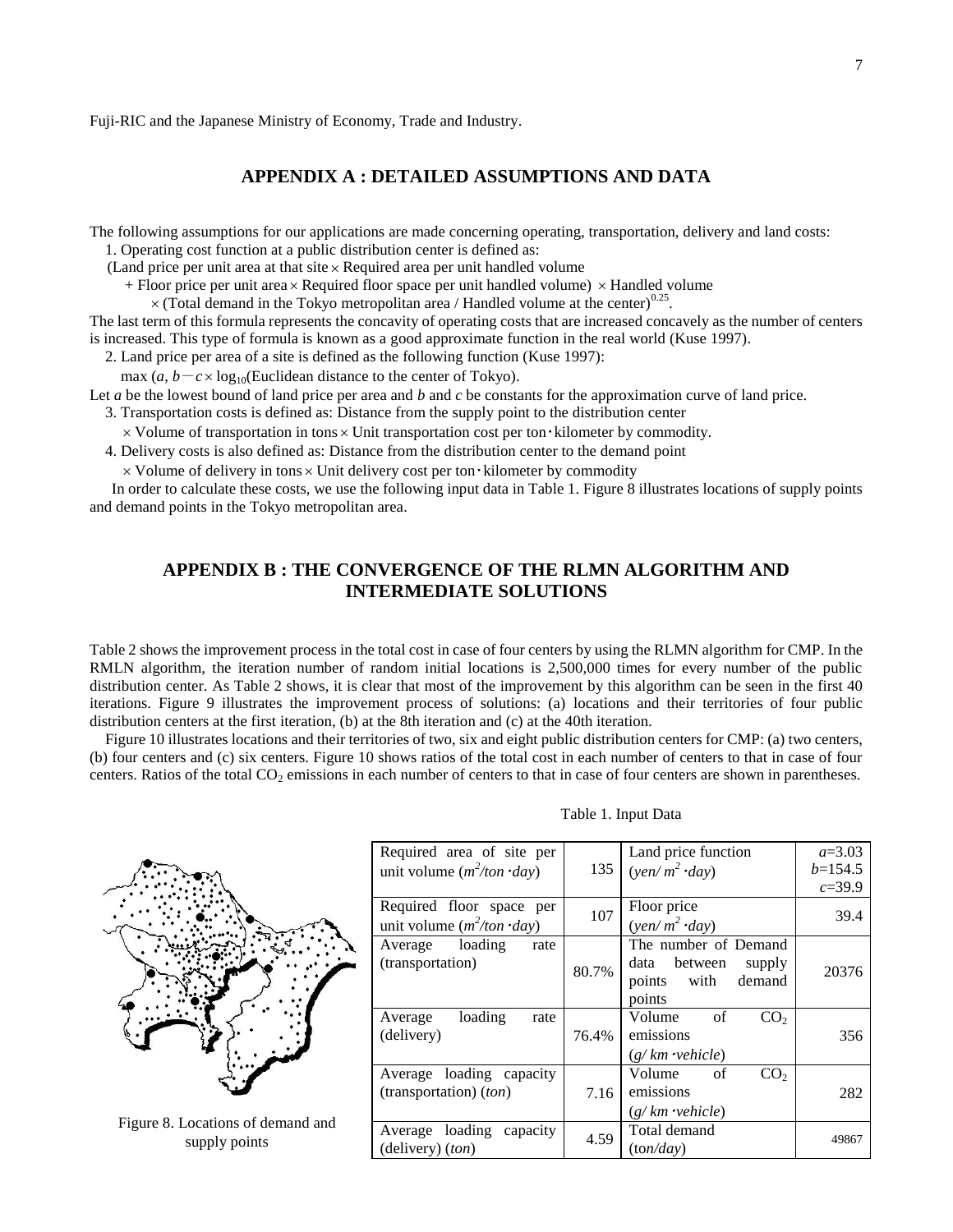Fuji-RIC and the Japanese Ministry of Economy, Trade and Industry.

### **APPENDIX A : DETAILED ASSUMPTIONS AND DATA**

The following assumptions for our applications are made concerning operating, transportation, delivery and land costs: 1. Operating cost function at a public distribution center is defined as:

(Land price per unit area at that site Required area per unit handled volume

+ Floor price per unit area × Required floor space per unit handled volume) × Handled volume

 $\times$  (Total demand in the Tokyo metropolitan area / Handled volume at the center)<sup>0.25</sup>.

The last term of this formula represents the concavity of operating costs that are increased concavely as the number of centers is increased. This type of formula is known as a good approximate function in the real world (Kuse 1997).

2. Land price per area of a site is defined as the following function (Kuse 1997):

max  $(a, b - c \times \log_{10}(\text{Euclidean distance to the center of Tokyo}).$ 

Let *a* be the lowest bound of land price per area and *b* and *c* be constants for the approximation curve of land price.

- 3. Transportation costs is defined as: Distance from the supply point to the distribution center
- $\times$  Volume of transportation in tons  $\times$  Unit transportation cost per ton  $\cdot$  kilometer by commodity.
- 4. Delivery costs is also defined as: Distance from the distribution center to the demand point
	- Volume of delivery in tons Unit delivery cost per ton・kilometer by commodity

In order to calculate these costs, we use the following input data in Table 1. Figure 8 illustrates locations of supply points and demand points in the Tokyo metropolitan area.

# **APPENDIX B : THE CONVERGENCE OF THE RLMN ALGORITHM AND INTERMEDIATE SOLUTIONS**

Table 2 shows the improvement process in the total cost in case of four centers by using the RLMN algorithm for CMP. In the RMLN algorithm, the iteration number of random initial locations is 2,500,000 times for every number of the public distribution center. As Table 2 shows, it is clear that most of the improvement by this algorithm can be seen in the first 40 iterations. Figure 9 illustrates the improvement process of solutions: (a) locations and their territories of four public distribution centers at the first iteration, (b) at the 8th iteration and (c) at the 40th iteration.

Figure 10 illustrates locations and their territories of two, six and eight public distribution centers for CMP: (a) two centers, (b) four centers and (c) six centers. Figure 10 shows ratios of the total cost in each number of centers to that in case of four centers. Ratios of the total  $CO<sub>2</sub>$  emissions in each number of centers to that in case of four centers are shown in parentheses.

| Required area of site per           |       | Land price function             | $a=3.03$   |  |  |
|-------------------------------------|-------|---------------------------------|------------|--|--|
| unit volume $(m^2/ton \cdot day)$   | 135   | $(\gamma en/m^2 \cdot day)$     | $b=154.5$  |  |  |
|                                     |       |                                 | $c = 39.9$ |  |  |
| Required floor space per            | 107   | Floor price                     | 39.4       |  |  |
| unit volume $(m^2/ton \cdot day)$   |       | $(\gamma en/m^2 \cdot day)$     |            |  |  |
| Average loading<br>rate             |       | The number of Demand            |            |  |  |
| (transportation)                    | 80.7% | data between<br>supply          | 20376      |  |  |
|                                     |       | points with demand              |            |  |  |
|                                     |       | points                          |            |  |  |
| loading<br>Average<br>rate          |       | CO <sub>2</sub><br>Volume<br>of |            |  |  |
| (delivery)                          | 76.4% | emissions                       | 356        |  |  |
|                                     |       | $(g/km$ <i>vehicle</i> )        |            |  |  |
| Average loading capacity            |       | of<br>CO <sub>2</sub><br>Volume |            |  |  |
| (transportation) (ton)              | 7.16  | emissions                       | 282        |  |  |
|                                     |       | $(g/km \cdot vehicle)$          |            |  |  |
| Average loading<br>capacity<br>4.59 |       | Total demand                    | 49867      |  |  |
| (delivery) (ton)                    |       | (ton/day)                       |            |  |  |

Table 1. Input Data



Figure 8. Locations of demand and supply points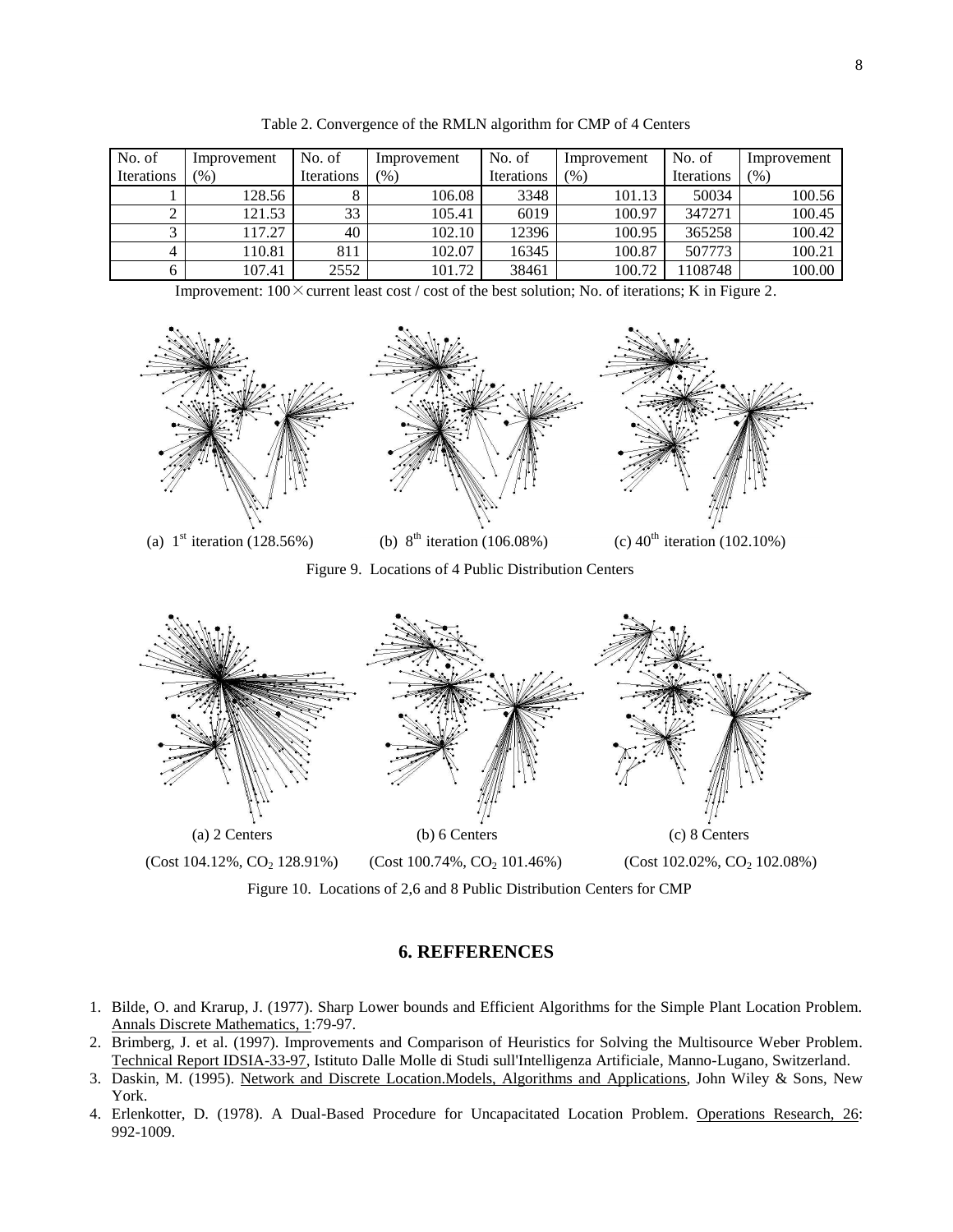| No. of            | Improvement | No. of            | Improvement | No. of            | Improvement | No. of            | Improvement |
|-------------------|-------------|-------------------|-------------|-------------------|-------------|-------------------|-------------|
| <b>Iterations</b> | (%)         | <b>Iterations</b> | (96)        | <b>Iterations</b> | (96)        | <b>Iterations</b> | (% )        |
|                   | 128.56      |                   | 106.08      | 3348              | 101.13      | 50034             | 100.56      |
|                   | 121.53      | 33                | 105.41      | 6019              | 100.97      | 347271            | 100.45      |
|                   | 117.27      | 40                | 102.10      | 12396             | 100.95      | 365258            | 100.42      |
| 4                 | 110.81      | 811               | 102.07      | 16345             | 100.87      | 507773            | 100.21      |
| h                 | 107.41      | 2552              | 101.72      | 38461             | 100.72      | 108748            | 100.00      |

Table 2. Convergence of the RMLN algorithm for CMP of 4 Centers

Improvement:  $100 \times$  current least cost / cost of the best solution; No. of iterations; K in Figure 2.



Figure 9. Locations of 4 Public Distribution Centers



Figure 10. Locations of 2,6 and 8 Public Distribution Centers for CMP

# **6. REFFERENCES**

- 1. Bilde, O. and Krarup, J. (1977). Sharp Lower bounds and Efficient Algorithms for the Simple Plant Location Problem. Annals Discrete Mathematics, 1:79-97.
- 2. Brimberg, J. et al. (1997). Improvements and Comparison of Heuristics for Solving the Multisource Weber Problem. Technical Report IDSIA-33-97, Istituto Dalle Molle di Studi sull'Intelligenza Artificiale, Manno-Lugano, Switzerland.
- 3. Daskin, M. (1995). Network and Discrete Location.Models, Algorithms and Applications, John Wiley & Sons, New York.
- 4. Erlenkotter, D. (1978). A Dual-Based Procedure for Uncapacitated Location Problem. Operations Research, 26: 992-1009.